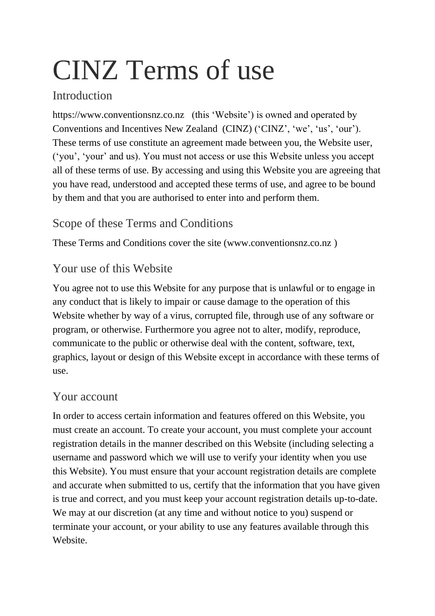# CINZ Terms of use

# Introduction

https://www.conventionsnz.co.nz (this 'Website') is owned and operated by Conventions and Incentives New Zealand (CINZ) ('CINZ', 'we', 'us', 'our'). These terms of use constitute an agreement made between you, the Website user, ('you', 'your' and us). You must not access or use this Website unless you accept all of these terms of use. By accessing and using this Website you are agreeing that you have read, understood and accepted these terms of use, and agree to be bound by them and that you are authorised to enter into and perform them.

# Scope of these Terms and Conditions

These Terms and Conditions cover the site (www.conventionsnz.co.nz )

#### Your use of this Website

You agree not to use this Website for any purpose that is unlawful or to engage in any conduct that is likely to impair or cause damage to the operation of this Website whether by way of a virus, corrupted file, through use of any software or program, or otherwise. Furthermore you agree not to alter, modify, reproduce, communicate to the public or otherwise deal with the content, software, text, graphics, layout or design of this Website except in accordance with these terms of use.

#### Your account

In order to access certain information and features offered on this Website, you must create an account. To create your account, you must complete your account registration details in the manner described on this Website (including selecting a username and password which we will use to verify your identity when you use this Website). You must ensure that your account registration details are complete and accurate when submitted to us, certify that the information that you have given is true and correct, and you must keep your account registration details up-to-date. We may at our discretion (at any time and without notice to you) suspend or terminate your account, or your ability to use any features available through this Website.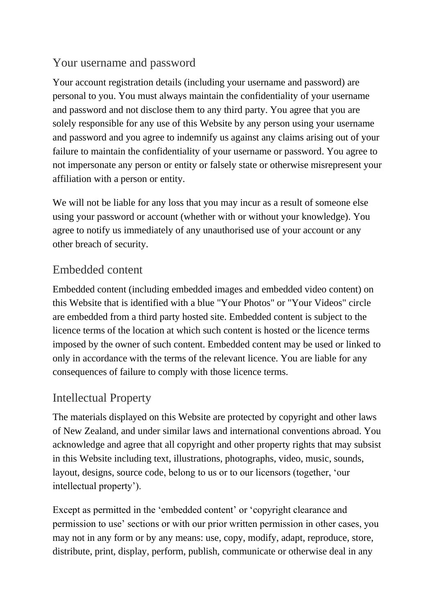#### Your username and password

Your account registration details (including your username and password) are personal to you. You must always maintain the confidentiality of your username and password and not disclose them to any third party. You agree that you are solely responsible for any use of this Website by any person using your username and password and you agree to indemnify us against any claims arising out of your failure to maintain the confidentiality of your username or password. You agree to not impersonate any person or entity or falsely state or otherwise misrepresent your affiliation with a person or entity.

We will not be liable for any loss that you may incur as a result of someone else using your password or account (whether with or without your knowledge). You agree to notify us immediately of any unauthorised use of your account or any other breach of security.

#### Embedded content

Embedded content (including embedded images and embedded video content) on this Website that is identified with a blue "Your Photos" or "Your Videos" circle are embedded from a third party hosted site. Embedded content is subject to the licence terms of the location at which such content is hosted or the licence terms imposed by the owner of such content. Embedded content may be used or linked to only in accordance with the terms of the relevant licence. You are liable for any consequences of failure to comply with those licence terms.

#### Intellectual Property

The materials displayed on this Website are protected by copyright and other laws of New Zealand, and under similar laws and international conventions abroad. You acknowledge and agree that all copyright and other property rights that may subsist in this Website including text, illustrations, photographs, video, music, sounds, layout, designs, source code, belong to us or to our licensors (together, 'our intellectual property').

Except as permitted in the 'embedded content' or 'copyright clearance and permission to use' sections or with our prior written permission in other cases, you may not in any form or by any means: use, copy, modify, adapt, reproduce, store, distribute, print, display, perform, publish, communicate or otherwise deal in any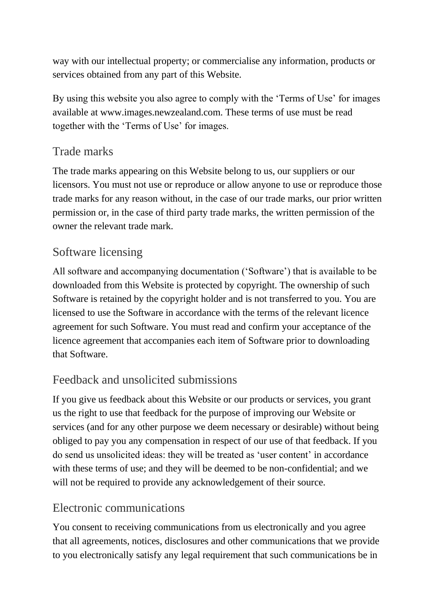way with our intellectual property; or commercialise any information, products or services obtained from any part of this Website.

By using this website you also agree to comply with the 'Terms of Use' for images available at www.images.newzealand.com. These terms of use must be read together with the 'Terms of Use' for images.

#### Trade marks

The trade marks appearing on this Website belong to us, our suppliers or our licensors. You must not use or reproduce or allow anyone to use or reproduce those trade marks for any reason without, in the case of our trade marks, our prior written permission or, in the case of third party trade marks, the written permission of the owner the relevant trade mark.

# Software licensing

All software and accompanying documentation ('Software') that is available to be downloaded from this Website is protected by copyright. The ownership of such Software is retained by the copyright holder and is not transferred to you. You are licensed to use the Software in accordance with the terms of the relevant licence agreement for such Software. You must read and confirm your acceptance of the licence agreement that accompanies each item of Software prior to downloading that Software.

# Feedback and unsolicited submissions

If you give us feedback about this Website or our products or services, you grant us the right to use that feedback for the purpose of improving our Website or services (and for any other purpose we deem necessary or desirable) without being obliged to pay you any compensation in respect of our use of that feedback. If you do send us unsolicited ideas: they will be treated as 'user content' in accordance with these terms of use; and they will be deemed to be non-confidential; and we will not be required to provide any acknowledgement of their source.

# Electronic communications

You consent to receiving communications from us electronically and you agree that all agreements, notices, disclosures and other communications that we provide to you electronically satisfy any legal requirement that such communications be in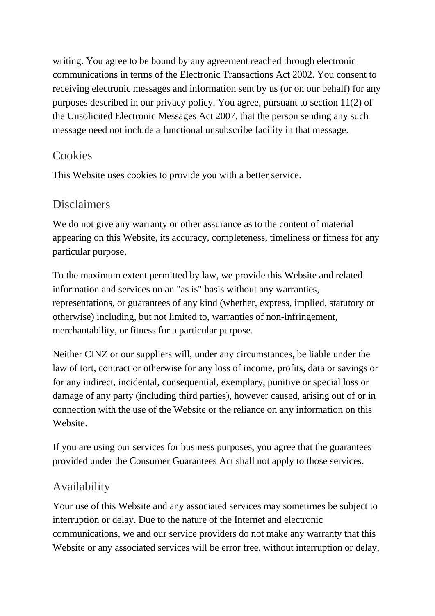writing. You agree to be bound by any agreement reached through electronic communications in terms of the Electronic Transactions Act 2002. You consent to receiving electronic messages and information sent by us (or on our behalf) for any purposes described in our privacy policy. You agree, pursuant to section 11(2) of the Unsolicited Electronic Messages Act 2007, that the person sending any such message need not include a functional unsubscribe facility in that message.

#### **Cookies**

This Website uses cookies to provide you with a better service.

#### Disclaimers

We do not give any warranty or other assurance as to the content of material appearing on this Website, its accuracy, completeness, timeliness or fitness for any particular purpose.

To the maximum extent permitted by law, we provide this Website and related information and services on an "as is" basis without any warranties, representations, or guarantees of any kind (whether, express, implied, statutory or otherwise) including, but not limited to, warranties of non-infringement, merchantability, or fitness for a particular purpose.

Neither CINZ or our suppliers will, under any circumstances, be liable under the law of tort, contract or otherwise for any loss of income, profits, data or savings or for any indirect, incidental, consequential, exemplary, punitive or special loss or damage of any party (including third parties), however caused, arising out of or in connection with the use of the Website or the reliance on any information on this Website.

If you are using our services for business purposes, you agree that the guarantees provided under the Consumer Guarantees Act shall not apply to those services.

# Availability

Your use of this Website and any associated services may sometimes be subject to interruption or delay. Due to the nature of the Internet and electronic communications, we and our service providers do not make any warranty that this Website or any associated services will be error free, without interruption or delay,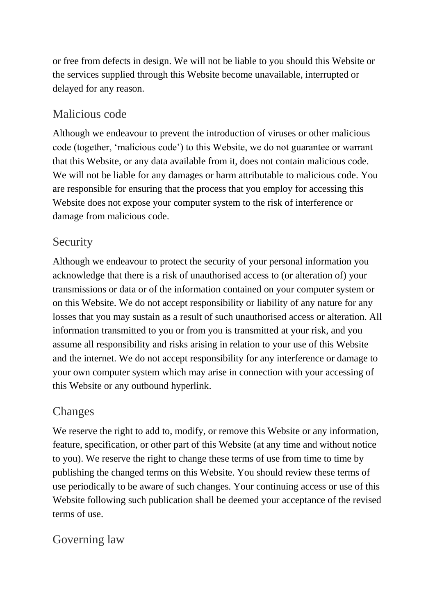or free from defects in design. We will not be liable to you should this Website or the services supplied through this Website become unavailable, interrupted or delayed for any reason.

#### Malicious code

Although we endeavour to prevent the introduction of viruses or other malicious code (together, 'malicious code') to this Website, we do not guarantee or warrant that this Website, or any data available from it, does not contain malicious code. We will not be liable for any damages or harm attributable to malicious code. You are responsible for ensuring that the process that you employ for accessing this Website does not expose your computer system to the risk of interference or damage from malicious code.

# Security

Although we endeavour to protect the security of your personal information you acknowledge that there is a risk of unauthorised access to (or alteration of) your transmissions or data or of the information contained on your computer system or on this Website. We do not accept responsibility or liability of any nature for any losses that you may sustain as a result of such unauthorised access or alteration. All information transmitted to you or from you is transmitted at your risk, and you assume all responsibility and risks arising in relation to your use of this Website and the internet. We do not accept responsibility for any interference or damage to your own computer system which may arise in connection with your accessing of this Website or any outbound hyperlink.

# Changes

We reserve the right to add to, modify, or remove this Website or any information, feature, specification, or other part of this Website (at any time and without notice to you). We reserve the right to change these terms of use from time to time by publishing the changed terms on this Website. You should review these terms of use periodically to be aware of such changes. Your continuing access or use of this Website following such publication shall be deemed your acceptance of the revised terms of use.

# Governing law